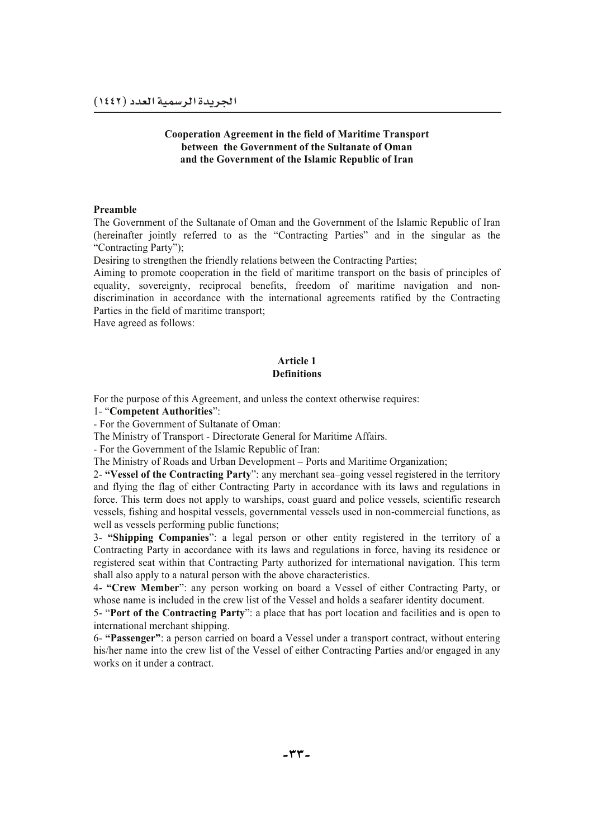### **Cooperation Agreement in the field of Maritime Transport between the Government of the Sultanate of Oman and the Government of the Islamic Republic of Iran**

#### **Preamble**

The Government of the Sultanate of Oman and the Government of the Islamic Republic of Iran (hereinafter jointly referred to as the "Contracting Parties" and in the singular as the "Contracting Party");

Desiring to strengthen the friendly relations between the Contracting Parties;

Aiming to promote cooperation in the field of maritime transport on the basis of principles of equality, sovereignty, reciprocal benefits, freedom of maritime navigation and nondiscrimination in accordance with the international agreements ratified by the Contracting Parties in the field of maritime transport;

Have agreed as follows:

### **Article 1 Definitions**

For the purpose of this Agreement, and unless the context otherwise requires:

1- "**Competent Authorities**":

- For the Government of Sultanate of Oman:

The Ministry of Transport - Directorate General for Maritime Affairs.

- For the Government of the Islamic Republic of Iran:

The Ministry of Roads and Urban Development – Ports and Maritime Organization;

2- **"Vessel of the Contracting Party**": any merchant sea–going vessel registered in the territory and flying the flag of either Contracting Party in accordance with its laws and regulations in force. This term does not apply to warships, coast guard and police vessels, scientific research vessels, fishing and hospital vessels, governmental vessels used in non-commercial functions, as well as vessels performing public functions;

3- **"Shipping Companies**": a legal person or other entity registered in the territory of a Contracting Party in accordance with its laws and regulations in force, having its residence or registered seat within that Contracting Party authorized for international navigation. This term shall also apply to a natural person with the above characteristics.

4- **"Crew Member**": any person working on board a Vessel of either Contracting Party, or whose name is included in the crew list of the Vessel and holds a seafarer identity document.

5- "**Port of the Contracting Party**": a place that has port location and facilities and is open to international merchant shipping.

6- **"Passenger"**: a person carried on board a Vessel under a transport contract, without entering his/her name into the crew list of the Vessel of either Contracting Parties and/or engaged in any works on it under a contract.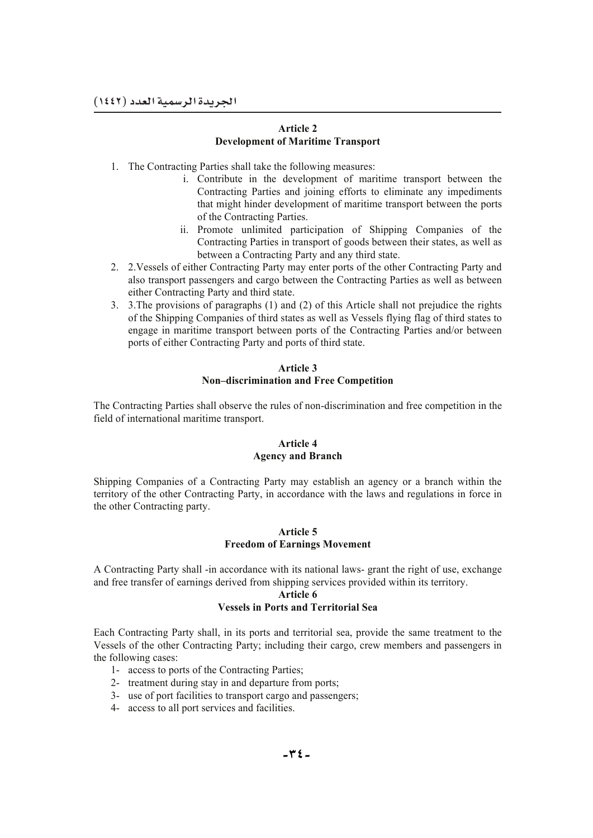### **Article 2 Development of Maritime Transport**

- 1. The Contracting Parties shall take the following measures:
	- i. Contribute in the development of maritime transport between the Contracting Parties and joining efforts to eliminate any impediments that might hinder development of maritime transport between the ports of the Contracting Parties.
	- ii. Promote unlimited participation of Shipping Companies of the Contracting Parties in transport of goods between their states, as well as between a Contracting Party and any third state.
- 2. 2.Vessels of either Contracting Party may enter ports of the other Contracting Party and also transport passengers and cargo between the Contracting Parties as well as between either Contracting Party and third state.
- 3. 3.The provisions of paragraphs (1) and (2) of this Article shall not prejudice the rights of the Shipping Companies of third states as well as Vessels flying flag of third states to engage in maritime transport between ports of the Contracting Parties and/or between ports of either Contracting Party and ports of third state.

### **Article 3 Non–discrimination and Free Competition**

The Contracting Parties shall observe the rules of non-discrimination and free competition in the field of international maritime transport.

### **Article 4 Agency and Branch**

Shipping Companies of a Contracting Party may establish an agency or a branch within the territory of the other Contracting Party, in accordance with the laws and regulations in force in the other Contracting party.

### **Article 5 Freedom of Earnings Movement**

A Contracting Party shall -in accordance with its national laws- grant the right of use, exchange and free transfer of earnings derived from shipping services provided within its territory.

#### **Article 6 Vessels in Ports and Territorial Sea**

Each Contracting Party shall, in its ports and territorial sea, provide the same treatment to the Vessels of the other Contracting Party; including their cargo, crew members and passengers in the following cases:

- 1- access to ports of the Contracting Parties;
- 2- treatment during stay in and departure from ports;
- 3- use of port facilities to transport cargo and passengers;
- 4- access to all port services and facilities.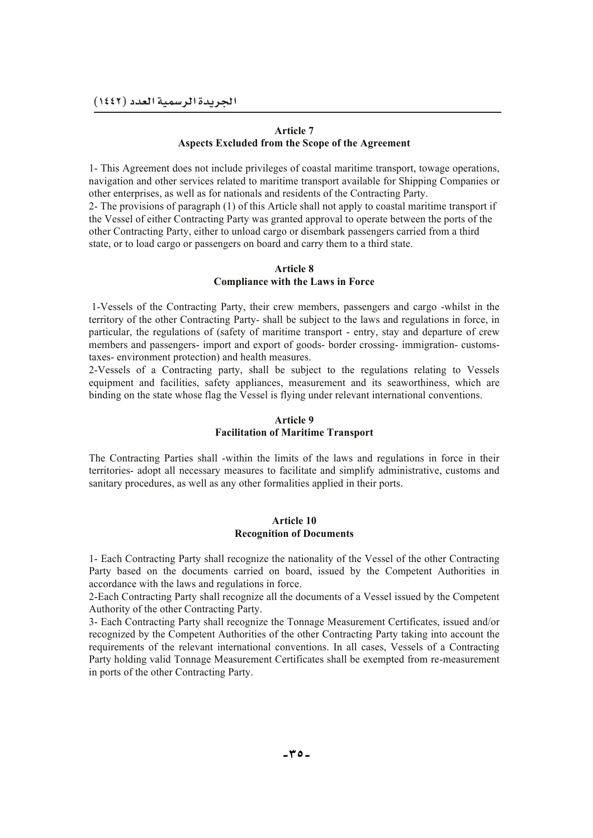### **Article 7 Aspects Excluded from the Scope of the Agreement**

1- This Agreement does not include privileges of coastal maritime transport, towage operations, navigation and other services related to maritime transport available for Shipping Companies or other enterprises, as well as for nationals and residents of the Contracting Party.

2- The provisions of paragraph (1) of this Article shall not apply to coastal maritime transport if the Vessel of either Contracting Party was granted approval to operate between the ports of the other Contracting Party, either to unload cargo or disembark passengers carried from a third state, or to load cargo or passengers on board and carry them to a third state.

### **Article 8 Compliance with the Laws in Force**

 1-Vessels of the Contracting Party, their crew members, passengers and cargo -whilst in the territory of the other Contracting Party- shall be subject to the laws and regulations in force, in particular, the regulations of (safety of maritime transport - entry, stay and departure of crew members and passengers- import and export of goods- border crossing- immigration- customstaxes- environment protection) and health measures.

2-Vessels of a Contracting party, shall be subject to the regulations relating to Vessels equipment and facilities, safety appliances, measurement and its seaworthiness, which are binding on the state whose flag the Vessel is flying under relevant international conventions.

## **Article 9 Facilitation of Maritime Transport**

The Contracting Parties shall -within the limits of the laws and regulations in force in their territories- adopt all necessary measures to facilitate and simplify administrative, customs and sanitary procedures, as well as any other formalities applied in their ports.

#### **Article 10 Recognition of Documents**

1- Each Contracting Party shall recognize the nationality of the Vessel of the other Contracting Party based on the documents carried on board, issued by the Competent Authorities in accordance with the laws and regulations in force.

2-Each Contracting Party shall recognize all the documents of a Vessel issued by the Competent Authority of the other Contracting Party.

3- Each Contracting Party shall recognize the Tonnage Measurement Certificates, issued and/or recognized by the Competent Authorities of the other Contracting Party taking into account the requirements of the relevant international conventions. In all cases, Vessels of a Contracting Party holding valid Tonnage Measurement Certificates shall be exempted from re-measurement in ports of the other Contracting Party.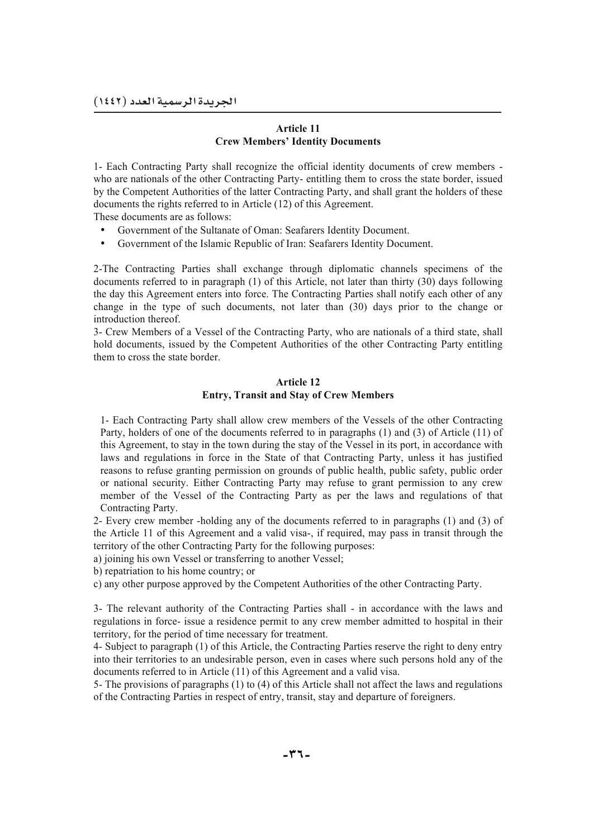### **Article 11 Crew Members' Identity Documents**

1- Each Contracting Party shall recognize the official identity documents of crew members who are nationals of the other Contracting Party- entitling them to cross the state border, issued by the Competent Authorities of the latter Contracting Party, and shall grant the holders of these documents the rights referred to in Article (12) of this Agreement.

These documents are as follows:

- Government of the Sultanate of Oman: Seafarers Identity Document.
- Government of the Islamic Republic of Iran: Seafarers Identity Document.

2-The Contracting Parties shall exchange through diplomatic channels specimens of the documents referred to in paragraph (1) of this Article, not later than thirty (30) days following the day this Agreement enters into force. The Contracting Parties shall notify each other of any change in the type of such documents, not later than (30) days prior to the change or introduction thereof.

3- Crew Members of a Vessel of the Contracting Party, who are nationals of a third state, shall hold documents, issued by the Competent Authorities of the other Contracting Party entitling them to cross the state border.

### **Article 12 Entry, Transit and Stay of Crew Members**

1- Each Contracting Party shall allow crew members of the Vessels of the other Contracting Party, holders of one of the documents referred to in paragraphs (1) and (3) of Article (11) of this Agreement, to stay in the town during the stay of the Vessel in its port, in accordance with laws and regulations in force in the State of that Contracting Party, unless it has justified reasons to refuse granting permission on grounds of public health, public safety, public order or national security. Either Contracting Party may refuse to grant permission to any crew member of the Vessel of the Contracting Party as per the laws and regulations of that Contracting Party.

2- Every crew member -holding any of the documents referred to in paragraphs (1) and (3) of the Article 11 of this Agreement and a valid visa-, if required, may pass in transit through the territory of the other Contracting Party for the following purposes:

a) joining his own Vessel or transferring to another Vessel;

b) repatriation to his home country; or

c) any other purpose approved by the Competent Authorities of the other Contracting Party.

3- The relevant authority of the Contracting Parties shall - in accordance with the laws and regulations in force- issue a residence permit to any crew member admitted to hospital in their territory, for the period of time necessary for treatment.

4- Subject to paragraph (1) of this Article, the Contracting Parties reserve the right to deny entry into their territories to an undesirable person, even in cases where such persons hold any of the documents referred to in Article (11) of this Agreement and a valid visa.

5- The provisions of paragraphs (1) to (4) of this Article shall not affect the laws and regulations of the Contracting Parties in respect of entry, transit, stay and departure of foreigners.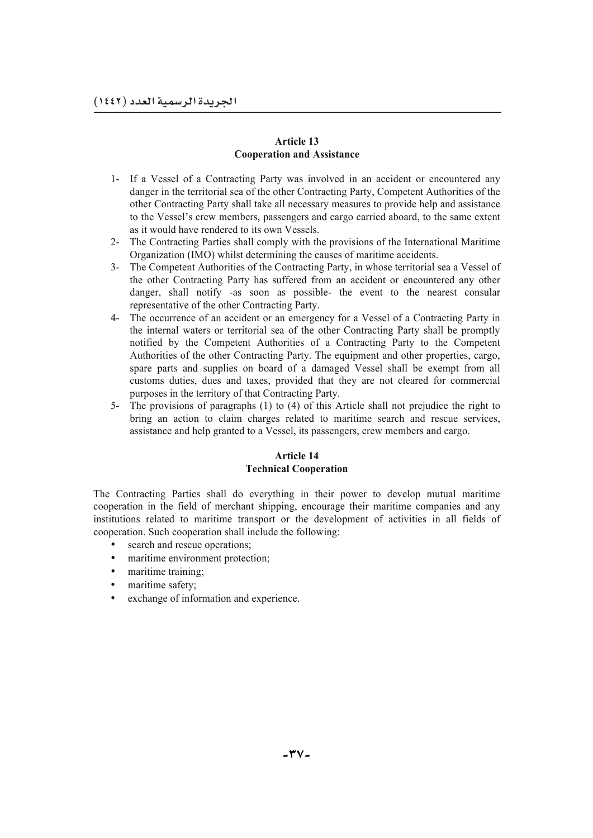### **Article 13 Cooperation and Assistance**

- 1- If a Vessel of a Contracting Party was involved in an accident or encountered any danger in the territorial sea of the other Contracting Party, Competent Authorities of the other Contracting Party shall take all necessary measures to provide help and assistance to the Vessel's crew members, passengers and cargo carried aboard, to the same extent as it would have rendered to its own Vessels.
- 2- The Contracting Parties shall comply with the provisions of the International Maritime Organization (IMO) whilst determining the causes of maritime accidents.
- 3- The Competent Authorities of the Contracting Party, in whose territorial sea a Vessel of the other Contracting Party has suffered from an accident or encountered any other danger, shall notify -as soon as possible- the event to the nearest consular representative of the other Contracting Party.
- 4- The occurrence of an accident or an emergency for a Vessel of a Contracting Party in the internal waters or territorial sea of the other Contracting Party shall be promptly notified by the Competent Authorities of a Contracting Party to the Competent Authorities of the other Contracting Party. The equipment and other properties, cargo, spare parts and supplies on board of a damaged Vessel shall be exempt from all customs duties, dues and taxes, provided that they are not cleared for commercial purposes in the territory of that Contracting Party.
- 5- The provisions of paragraphs (1) to (4) of this Article shall not prejudice the right to bring an action to claim charges related to maritime search and rescue services, assistance and help granted to a Vessel, its passengers, crew members and cargo.

# **Article 14 Technical Cooperation**

The Contracting Parties shall do everything in their power to develop mutual maritime cooperation in the field of merchant shipping, encourage their maritime companies and any institutions related to maritime transport or the development of activities in all fields of cooperation. Such cooperation shall include the following:

- search and rescue operations;
- maritime environment protection;
- maritime training;
- maritime safety;
- exchange of information and experience.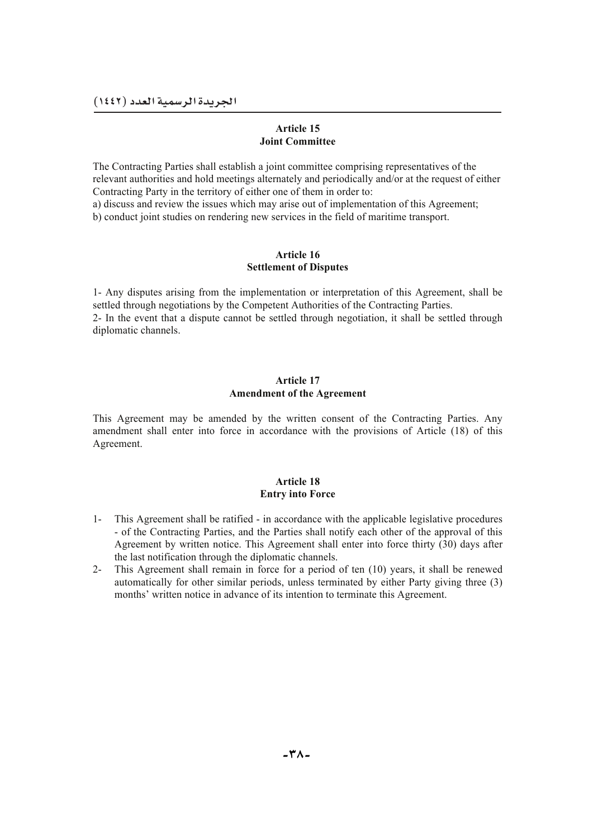### **Article 15 Joint Committee**

The Contracting Parties shall establish a joint committee comprising representatives of the relevant authorities and hold meetings alternately and periodically and/or at the request of either Contracting Party in the territory of either one of them in order to:

a) discuss and review the issues which may arise out of implementation of this Agreement;

b) conduct joint studies on rendering new services in the field of maritime transport.

### **Article 16 Settlement of Disputes**

1- Any disputes arising from the implementation or interpretation of this Agreement, shall be settled through negotiations by the Competent Authorities of the Contracting Parties. 2- In the event that a dispute cannot be settled through negotiation, it shall be settled through diplomatic channels.

### **Article 17 Amendment of the Agreement**

This Agreement may be amended by the written consent of the Contracting Parties. Any amendment shall enter into force in accordance with the provisions of Article (18) of this Agreement.

### **Article 18 Entry into Force**

- 1- This Agreement shall be ratified in accordance with the applicable legislative procedures - of the Contracting Parties, and the Parties shall notify each other of the approval of this Agreement by written notice. This Agreement shall enter into force thirty (30) days after the last notification through the diplomatic channels.
- 2- This Agreement shall remain in force for a period of ten (10) years, it shall be renewed automatically for other similar periods, unless terminated by either Party giving three (3) months' written notice in advance of its intention to terminate this Agreement.